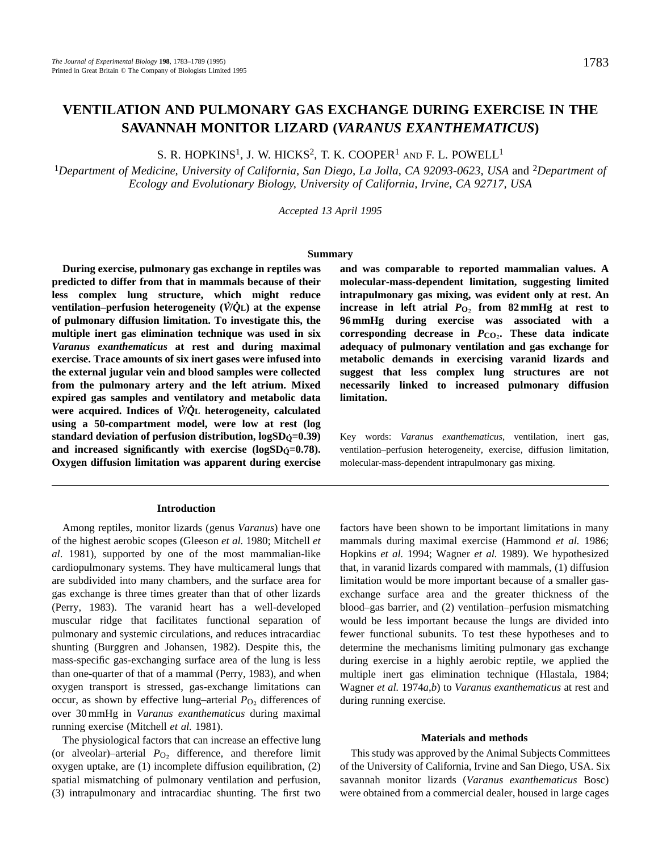# **VENTILATION AND PULMONARY GAS EXCHANGE DURING EXERCISE IN THE SAVANNAH MONITOR LIZARD (***VARANUS EXANTHEMATICUS***)**

S. R. HOPKINS<sup>1</sup>, J. W. HICKS<sup>2</sup>, T. K. COOPER<sup>1</sup> AND F. L. POWELL<sup>1</sup>

<sup>1</sup>*Department of Medicine, University of California, San Diego, La Jolla, CA 92093-0623, USA* and 2*Department of Ecology and Evolutionary Biology, University of California, Irvine, CA 92717, USA*

*Accepted 13 April 1995*

#### **Summary**

**During exercise, pulmonary gas exchange in reptiles was predicted to differ from that in mammals because of their less complex lung structure, which might reduce . . ventilation–perfusion heterogeneity (***V* **/***Q* **L) at the expense of pulmonary diffusion limitation. To investigate this, the multiple inert gas elimination technique was used in six** *Varanus exanthematicus* **at rest and during maximal exercise. Trace amounts of six inert gases were infused into the external jugular vein and blood samples were collected from the pulmonary artery and the left atrium. Mixed expired gas samples and ventilatory and metabolic data . . were acquired. Indices of** *V* **/***Q* **L heterogeneity, calculated using a 50-compartment model, were low at rest (log standard deviation of perfusion distribution, logSDQ . =0.39)** and increased significantly with exercise (logSD<sub>Q</sub>=0.78). **Oxygen diffusion limitation was apparent during exercise**

### **Introduction**

Among reptiles, monitor lizards (genus *Varanus*) have one of the highest aerobic scopes (Gleeson *et al.* 1980; Mitchell *et al*. 1981), supported by one of the most mammalian-like cardiopulmonary systems. They have multicameral lungs that are subdivided into many chambers, and the surface area for gas exchange is three times greater than that of other lizards (Perry, 1983). The varanid heart has a well-developed muscular ridge that facilitates functional separation of pulmonary and systemic circulations, and reduces intracardiac shunting (Burggren and Johansen, 1982). Despite this, the mass-specific gas-exchanging surface area of the lung is less than one-quarter of that of a mammal (Perry, 1983), and when oxygen transport is stressed, gas-exchange limitations can occur, as shown by effective lung–arterial  $P_{\text{O}_2}$  differences of over 30 mmHg in *Varanus exanthematicus* during maximal running exercise (Mitchell *et al.* 1981).

The physiological factors that can increase an effective lung (or alveolar)–arterial  $P_{\text{O}_2}$  difference, and therefore limit oxygen uptake, are (1) incomplete diffusion equilibration, (2) spatial mismatching of pulmonary ventilation and perfusion, (3) intrapulmonary and intracardiac shunting. The first two

**and was comparable to reported mammalian values. A molecular-mass-dependent limitation, suggesting limited intrapulmonary gas mixing, was evident only at rest. An increase in left atrial**  $P_{\text{O}_2}$  **from 82 mmHg at rest to 96 mmHg during exercise was associated with a corresponding decrease in** *P***CO**∑**. These data indicate adequacy of pulmonary ventilation and gas exchange for metabolic demands in exercising varanid lizards and suggest that less complex lung structures are not necessarily linked to increased pulmonary diffusion limitation.**

Key words: *Varanus exanthematicus*, ventilation, inert gas, ventilation–perfusion heterogeneity, exercise, diffusion limitation, molecular-mass-dependent intrapulmonary gas mixing.

factors have been shown to be important limitations in many mammals during maximal exercise (Hammond *et al.* 1986; Hopkins *et al.* 1994; Wagner *et al.* 1989). We hypothesized that, in varanid lizards compared with mammals, (1) diffusion limitation would be more important because of a smaller gasexchange surface area and the greater thickness of the blood–gas barrier, and (2) ventilation–perfusion mismatching would be less important because the lungs are divided into fewer functional subunits. To test these hypotheses and to determine the mechanisms limiting pulmonary gas exchange during exercise in a highly aerobic reptile, we applied the multiple inert gas elimination technique (Hlastala, 1984; Wagner *et al.* 1974*a*,*b*) to *Varanus exanthematicus* at rest and during running exercise.

### **Materials and methods**

This study was approved by the Animal Subjects Committees of the University of California, Irvine and San Diego, USA. Six savannah monitor lizards (*Varanus exanthematicus* Bosc) were obtained from a commercial dealer, housed in large cages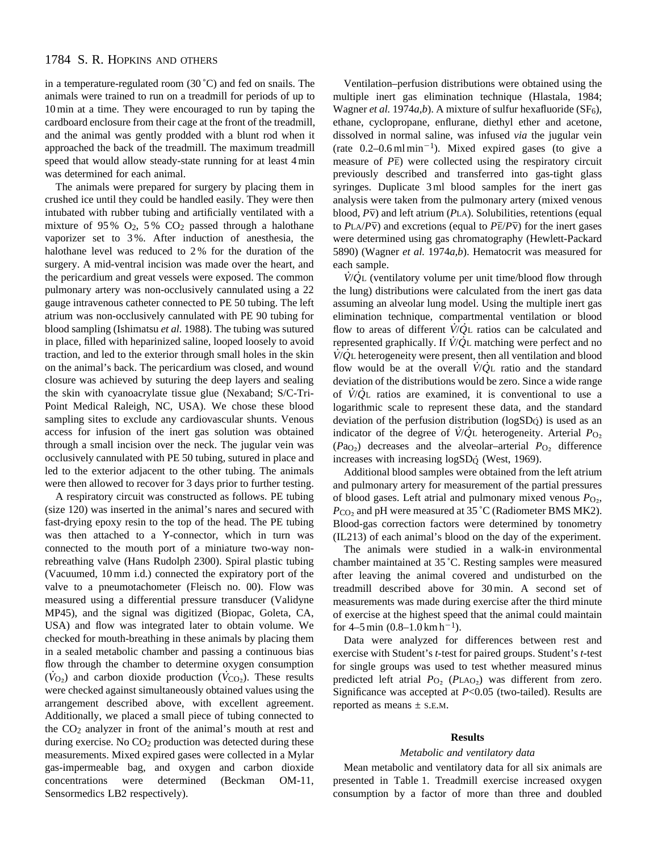# 1784 S. R. HOPKINS AND OTHERS

in a temperature-regulated room (30 ˚C) and fed on snails. The animals were trained to run on a treadmill for periods of up to 10 min at a time. They were encouraged to run by taping the cardboard enclosure from their cage at the front of the treadmill, and the animal was gently prodded with a blunt rod when it approached the back of the treadmill. The maximum treadmill speed that would allow steady-state running for at least 4 min was determined for each animal.

The animals were prepared for surgery by placing them in crushed ice until they could be handled easily. They were then intubated with rubber tubing and artificially ventilated with a mixture of 95%  $O_2$ , 5%  $CO_2$  passed through a halothane vaporizer set to 3 %. After induction of anesthesia, the halothane level was reduced to 2 % for the duration of the surgery. A mid-ventral incision was made over the heart, and the pericardium and great vessels were exposed. The common pulmonary artery was non-occlusively cannulated using a 22 gauge intravenous catheter connected to PE 50 tubing. The left atrium was non-occlusively cannulated with PE 90 tubing for blood sampling (Ishimatsu *et al.* 1988). The tubing was sutured in place, filled with heparinized saline, looped loosely to avoid traction, and led to the exterior through small holes in the skin on the animal's back. The pericardium was closed, and wound closure was achieved by suturing the deep layers and sealing the skin with cyanoacrylate tissue glue (Nexaband; S/C-Tri-Point Medical Raleigh, NC, USA). We chose these blood sampling sites to exclude any cardiovascular shunts. Venous access for infusion of the inert gas solution was obtained through a small incision over the neck. The jugular vein was occlusively cannulated with PE 50 tubing, sutured in place and led to the exterior adjacent to the other tubing. The animals were then allowed to recover for 3 days prior to further testing.

A respiratory circuit was constructed as follows. PE tubing (size 120) was inserted in the animal's nares and secured with fast-drying epoxy resin to the top of the head. The PE tubing was then attached to a Y-connector, which in turn was connected to the mouth port of a miniature two-way nonrebreathing valve (Hans Rudolph 2300). Spiral plastic tubing (Vacuumed, 10 mm i.d.) connected the expiratory port of the valve to a pneumotachometer (Fleisch no. 00). Flow was measured using a differential pressure transducer (Validyne MP45), and the signal was digitized (Biopac, Goleta, CA, USA) and flow was integrated later to obtain volume. We checked for mouth-breathing in these animals by placing them in a sealed metabolic chamber and passing a continuous bias flow through the chamber to determine oxygen consumption  $(\dot{V}_{\text{O}_2})$  and carbon dioxide production ( $\dot{V}_{\text{CO}_2}$ ). These results were checked against simultaneously obtained values using the arrangement described above, with excellent agreement. Additionally, we placed a small piece of tubing connected to the  $CO<sub>2</sub>$  analyzer in front of the animal's mouth at rest and during exercise. No CO<sub>2</sub> production was detected during these measurements. Mixed expired gases were collected in a Mylar gas-impermeable bag, and oxygen and carbon dioxide concentrations were determined (Beckman OM-11, Sensormedics LB2 respectively).

Ventilation–perfusion distributions were obtained using the multiple inert gas elimination technique (Hlastala, 1984; Wagner *et al.* 1974*a*,*b*). A mixture of sulfur hexafluoride (SF<sub>6</sub>), ethane, cyclopropane, enflurane, diethyl ether and acetone, dissolved in normal saline, was infused *via* the jugular vein (rate  $0.2-0.6$  ml min<sup>-1</sup>). Mixed expired gases (to give a measure of *P*E) were collected using the respiratory circuit previously described and transferred into gas-tight glass syringes. Duplicate 3 ml blood samples for the inert gas analysis were taken from the pulmonary artery (mixed venous blood,  $P\overline{v}$ ) and left atrium (*PLA*). Solubilities, retentions (equal to  $P_{\text{LA}}/P_{\text{V}}$ ) and excretions (equal to  $P_{\text{E}}/P_{\text{V}}$ ) for the inert gases were determined using gas chromatography (Hewlett-Packard 5890) (Wagner *et al.* 1974*a*,*b*). Hematocrit was measured for each sample. . .

*V* /*Q* L (ventilatory volume per unit time/blood flow through the lung) distributions were calculated from the inert gas data assuming an alveolar lung model. Using the multiple inert gas elimination technique, compartmental ventilation or blood . . flow to areas of different *V*/*Q*<sub>L</sub> ratios can be calculated and represented graphically. If *V*/*Q*<sub>L</sub> matching were perfect and no *V*/*Q*<sup>L</sup> heterogeneity were present, then all ventilation and blood flow would be at the overall *V* /*Q* L ratio and the standard deviation of the distributions would be zero. Since a wide range . . of *V* /*Q* L ratios are examined, it is conventional to use a logarithmic scale to represent these data, and the standard deviation of the perfusion distribution (logSDQ . ) is used as an . . indicator of the degree of *V*/*Q*<sup>L</sup> heterogeneity. Arterial *P*<sub>O2</sub>  $(Pa<sub>O</sub>)$  decreases and the alveolar–arterial  $P<sub>O</sub>$ , difference increases with increasing  $logSD\phi$  (West, 1969).

Additional blood samples were obtained from the left atrium and pulmonary artery for measurement of the partial pressures of blood gases. Left atrial and pulmonary mixed venous  $P_{\text{O}_2}$ , *P*<sub>CO</sub>2 and pH were measured at 35 °C (Radiometer BMS MK2). Blood-gas correction factors were determined by tonometry (IL213) of each animal's blood on the day of the experiment.

The animals were studied in a walk-in environmental chamber maintained at 35 ˚C. Resting samples were measured after leaving the animal covered and undisturbed on the treadmill described above for 30 min. A second set of measurements was made during exercise after the third minute of exercise at the highest speed that the animal could maintain for  $4-5$  min  $(0.8-1.0 \text{ km h}^{-1})$ .

Data were analyzed for differences between rest and exercise with Student's *t*-test for paired groups. Student's *t*-test for single groups was used to test whether measured minus predicted left atrial  $P_{\text{O}_2}$  ( $P_{\text{LAO}_2}$ ) was different from zero. Significance was accepted at *P*<0.05 (two-tailed). Results are reported as means  $\pm$  s.E.M.

# **Results**

#### *Metabolic and ventilatory data*

Mean metabolic and ventilatory data for all six animals are presented in Table 1. Treadmill exercise increased oxygen consumption by a factor of more than three and doubled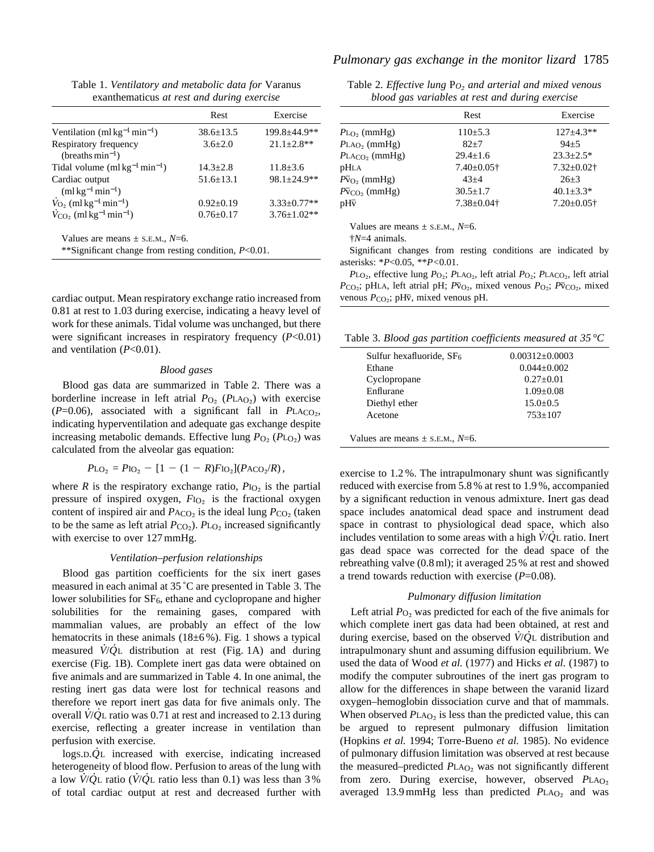Table 1. *Ventilatory and metabolic data for* Varanus exanthematicus *at rest and during exercise*

|                                                                 | Rest            | Exercise                     |
|-----------------------------------------------------------------|-----------------|------------------------------|
| Ventilation (ml $kg^{-1}$ min <sup>-1</sup> )                   | $38.6 + 13.5$   | $199.8 \pm 44.9$ **          |
| Respiratory frequency                                           | $3.6 + 2.0$     | $21.1 \pm 2.8$ **            |
| (breaths $min^{-1}$ )                                           |                 |                              |
| Tidal volume $(m1 \text{ kg}^{-1} \text{min}^{-1})$             | $14.3 + 2.8$    | $11.8 \pm 3.6$               |
| Cardiac output                                                  | $51.6 \pm 13.1$ | $98.1 + 24.9$ **             |
| $(mlkg^{-1}min^{-1})$                                           |                 |                              |
| $\dot{V}_{\text{O}_2}$ (ml kg <sup>-1</sup> min <sup>-1</sup> ) | $0.92 + 0.19$   | $3.33 + 0.77**$              |
| $\dot{V}_{\rm CO_2}$ (ml kg <sup>-1</sup> min <sup>-1</sup> )   | $0.76 + 0.17$   | $3.76 + 1.02**$              |
| Values are means $\pm$ s.e.m., N=6.                             |                 | $P^{\prime}$ $\cap$ $\cap$ 1 |

\*\*Significant change from resting condition, *P*<0.01.

cardiac output. Mean respiratory exchange ratio increased from 0.81 at rest to 1.03 during exercise, indicating a heavy level of work for these animals. Tidal volume was unchanged, but there were significant increases in respiratory frequency (*P*<0.01) and ventilation (*P*<0.01).

### *Blood gases*

Blood gas data are summarized in Table 2. There was a borderline increase in left atrial  $P_{\text{O}_2}$  ( $P_{\text{LAO}_2}$ ) with exercise  $(P=0.06)$ , associated with a significant fall in *PLACO*<sub>2</sub>, indicating hyperventilation and adequate gas exchange despite increasing metabolic demands. Effective lung  $P_{\text{O}_2}$  ( $P_{\text{LO}_2}$ ) was calculated from the alveolar gas equation:

$$
P_{LO_2} = P_{IO_2} - [1 - (1 - R)F_{IO_2}](P_{ACO_2}/R),
$$

where  $R$  is the respiratory exchange ratio,  $P_{\text{IO}_2}$  is the partial pressure of inspired oxygen, *F*I<sub>O</sub>, is the fractional oxygen content of inspired air and  $P_{ACO<sub>2</sub>}$  is the ideal lung  $P_{CO<sub>2</sub>}$  (taken to be the same as left atrial  $P_{\text{CO}_2}$ ).  $P_{\text{LO}_2}$  increased significantly with exercise to over 127 mmHg.

#### *Ventilation–perfusion relationships*

Blood gas partition coefficients for the six inert gases measured in each animal at 35 ˚C are presented in Table 3. The lower solubilities for SF<sub>6</sub>, ethane and cyclopropane and higher solubilities for the remaining gases, compared with mammalian values, are probably an effect of the low hematocrits in these animals (18±6%). Fig. 1 shows a typical measured *V* /*Q* L distribution at rest (Fig. 1A) and during exercise (Fig. 1B). Complete inert gas data were obtained on five animals and are summarized in Table 4. In one animal, the resting inert gas data were lost for technical reasons and therefore we report inert gas data for five animals only. The . . overall *V* /*Q* L ratio was 0.71 at rest and increased to 2.13 during exercise, reflecting a greater increase in ventilation than perfusion with exercise. .

logS.D.*Q* L increased with exercise, indicating increased heterogeneity of blood flow. Perfusion to areas of the lung with a low  $\dot{V}/\dot{Q}$ L ratio ( $\dot{V}/\dot{Q}$ L ratio less than 0.1) was less than 3 % of total cardiac output at rest and decreased further with

# *Pulmonary gas exchange in the monitor lizard* 1785

| Table 2. Effective lung $P_O$ , and arterial and mixed venous |  |                                                 |  |  |
|---------------------------------------------------------------|--|-------------------------------------------------|--|--|
|                                                               |  | blood gas variables at rest and during exercise |  |  |

| Rest              | Exercise          |  |  |  |
|-------------------|-------------------|--|--|--|
| $110\pm 5.3$      | $127 + 4.3**$     |  |  |  |
| $82 + 7$          | $94 + 5$          |  |  |  |
| $29.4 + 1.6$      | $23.3 \pm 2.5^*$  |  |  |  |
| $7.40 \pm 0.05$ † | $7.32 \pm 0.02$ † |  |  |  |
| $43 + 4$          | $26+3$            |  |  |  |
| $30.5 \pm 1.7$    | $40.1 \pm 3.3*$   |  |  |  |
| $7.38 \pm 0.04$ † | $7.20 \pm 0.05$ † |  |  |  |
|                   |                   |  |  |  |

Values are means  $\pm$  s.e.m.,  $N=6$ .

†*N*=4 animals.

Significant changes from resting conditions are indicated by asterisks: \**P*<0.05, \*\**P<*0.01.

*P*L<sub>O</sub><sub>2</sub>, effective lung *P*<sub>O</sub><sub>2</sub>; *P*LA<sub>O</sub><sub>2</sub>, left atrial *P*<sub>O</sub><sub>2</sub>; *P*LA<sub>CO</sub><sub>2</sub>, left atrial  $P_{\text{CO}_2}$ ; pHLA, left atrial pH;  $P_{\text{CO}_2}$ , mixed venous  $P_{\text{O}_2}$ ;  $P_{\text{CO}_2}$ , mixed venous  $P_{CO_2}$ ; pH<sub>V</sub>, mixed venous pH.

Table 3. *Blood gas partition coefficients measured at 35 °C*

| Sulfur hexafluoride, $SF6$          | $0.00312 + 0.0003$ |
|-------------------------------------|--------------------|
| Ethane                              | $0.044 + 0.002$    |
| Cyclopropane                        | $0.27+0.01$        |
| Enflurane                           | $1.09 \pm 0.08$    |
| Diethyl ether                       | $15.0 \pm 0.5$     |
| Acetone                             | $753 \pm 107$      |
|                                     |                    |
| Values are means $\pm$ s.e.m., N=6. |                    |

exercise to 1.2 %. The intrapulmonary shunt was significantly reduced with exercise from 5.8 % at rest to 1.9 %, accompanied by a significant reduction in venous admixture. Inert gas dead space includes anatomical dead space and instrument dead space in contrast to physiological dead space, which also . . includes ventilation to some areas with a high *V* /*Q* L ratio. Inert gas dead space was corrected for the dead space of the rebreathing valve (0.8 ml); it averaged 25 % at rest and showed a trend towards reduction with exercise (*P*=0.08).

## *Pulmonary diffusion limitation*

Left atrial  $P<sub>O2</sub>$  was predicted for each of the five animals for which complete inert gas data had been obtained, at rest and during exercise, based on the observed *V* /*Q* L distribution and intrapulmonary shunt and assuming diffusion equilibrium. We used the data of Wood *et al.* (1977) and Hicks *et al.* (1987) to modify the computer subroutines of the inert gas program to allow for the differences in shape between the varanid lizard oxygen–hemoglobin dissociation curve and that of mammals. When observed  $P<sub>LAO<sub>2</sub></sub>$  is less than the predicted value, this can be argued to represent pulmonary diffusion limitation (Hopkins *et al.* 1994; Torre-Bueno *et al.* 1985). No evidence of pulmonary diffusion limitation was observed at rest because the measured–predicted *P*LA<sub>O2</sub> was not significantly different from zero. During exercise, however, observed PLAO2 averaged 13.9 mmHg less than predicted  $P<sub>LAO<sub>2</sub></sub>$  and was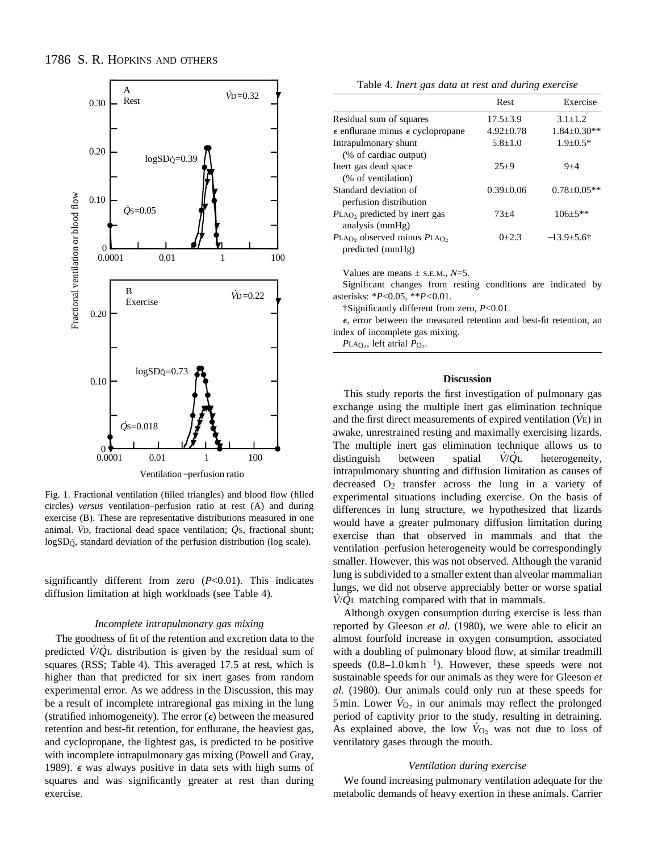

Fig. 1. Fractional ventilation (filled triangles) and blood flow (filled circles) *versus* ventilation–perfusion ratio at rest (A) and during exercise (B). These are representative distributions measured in one . animal. V<sub>D</sub>, fractional dead space ventilation;  $\dot{Q}$ s, fractional shunt; logSD<sub>Q</sub>, standard deviation of the perfusion distribution (log scale).

significantly different from zero (*P*<0.01). This indicates diffusion limitation at high workloads (see Table 4).

#### *Incomplete intrapulmonary gas mixing*

The goodness of fit of the retention and excretion data to the predicted *V* /*Q* L distribution is given by the residual sum of squares (RSS; Table 4). This averaged 17.5 at rest, which is higher than that predicted for six inert gases from random experimental error. As we address in the Discussion, this may be a result of incomplete intraregional gas mixing in the lung (stratified inhomogeneity). The error  $(\epsilon)$  between the measured retention and best-fit retention, for enflurane, the heaviest gas, and cyclopropane, the lightest gas, is predicted to be positive with incomplete intrapulmonary gas mixing (Powell and Gray, 1989).  $\epsilon$  was always positive in data sets with high sums of squares and was significantly greater at rest than during exercise.

Table 4. *Inert gas data at rest and during exercise*

|                                                    | Rest           | Exercise           |
|----------------------------------------------------|----------------|--------------------|
| Residual sum of squares                            | $17.5 \pm 3.9$ | $3.1 \pm 1.2$      |
| $\epsilon$ enflurane minus $\epsilon$ cyclopropane | $4.92 + 0.78$  | $1.84 \pm 0.30**$  |
| Intrapulmonary shunt                               | $5.8 + 1.0$    | $1.9 + 0.5*$       |
| (% of cardiac output)                              |                |                    |
| Inert gas dead space                               | $25+9$         | $9 + 4$            |
| (% of ventilation)                                 |                |                    |
| Standard deviation of                              | $0.39 + 0.06$  | $0.78 \pm 0.05$ ** |
| perfusion distribution                             |                |                    |
| PLA <sub>O</sub> , predicted by inert gas          | $73+4$         | $106 + 5**$        |
| analysis (mmHg)                                    |                |                    |
| $PLAO$ , observed minus $PLAO$ ,                   | $0+2.3$        | $-13.9 \pm 5.6$ †  |
| predicted (mmHg)                                   |                |                    |

Values are means  $\pm$  s.e.m.,  $N=5$ .

Significant changes from resting conditions are indicated by asterisks: \**P*<0.05, \*\**P<*0.01.

†Significantly different from zero, *P*<0.01.

 $\epsilon$ , error between the measured retention and best-fit retention, an index of incomplete gas mixing.

 $P<sub>LAO<sub>2</sub></sub>$ , left atrial  $P<sub>O<sub>2</sub></sub>$ .

## **Discussion**

This study reports the first investigation of pulmonary gas exchange using the multiple inert gas elimination technique . and the first direct measurements of expired ventilation (*V* E) in awake, unrestrained resting and maximally exercising lizards. The multiple inert gas elimination technique allows us to distinguish between spatial  $\dot{V}/\dot{O}$ L heterogeneity, intrapulmonary shunting and diffusion limitation as causes of decreased  $O_2$  transfer across the lung in a variety of experimental situations including exercise. On the basis of differences in lung structure, we hypothesized that lizards would have a greater pulmonary diffusion limitation during exercise than that observed in mammals and that the ventilation–perfusion heterogeneity would be correspondingly smaller. However, this was not observed. Although the varanid lung is subdivided to a smaller extent than alveolar mammalian lungs, we did not observe appreciably better or worse spatial . .  $V/Q$ <sup>L</sup> matching compared with that in mammals.

Although oxygen consumption during exercise is less than reported by Gleeson *et al.* (1980), we were able to elicit an almost fourfold increase in oxygen consumption, associated with a doubling of pulmonary blood flow, at similar treadmill speeds  $(0.8-1.0 \text{ km h}^{-1})$ . However, these speeds were not sustainable speeds for our animals as they were for Gleeson *et al.* (1980). Our animals could only run at these speeds for . 5 min. Lower  $\dot{V}_{\text{O}_2}$  in our animals may reflect the prolonged period of captivity prior to the study, resulting in detraining. . As explained above, the low  $\dot{V}_{O_2}$  was not due to loss of ventilatory gases through the mouth.

#### *Ventilation during exercise*

We found increasing pulmonary ventilation adequate for the metabolic demands of heavy exertion in these animals. Carrier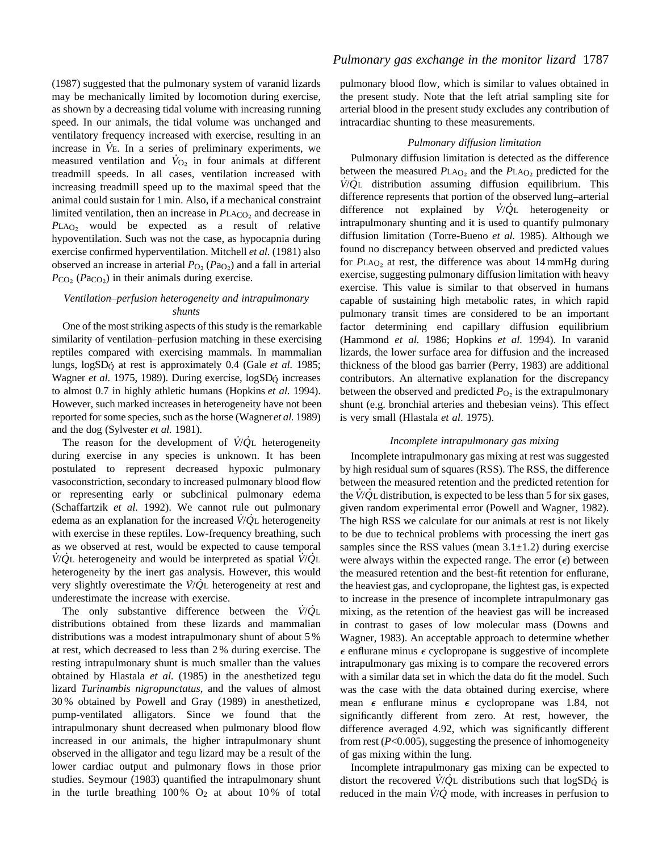(1987) suggested that the pulmonary system of varanid lizards may be mechanically limited by locomotion during exercise, as shown by a decreasing tidal volume with increasing running speed. In our animals, the tidal volume was unchanged and ventilatory frequency increased with exercise, resulting in an . increase in *V* E. In a series of preliminary experiments, we . measured ventilation and  $\dot{V}_{\text{O}_2}$  in four animals at different treadmill speeds. In all cases, ventilation increased with increasing treadmill speed up to the maximal speed that the animal could sustain for 1 min. Also, if a mechanical constraint limited ventilation, then an increase in  $P<sub>LACO<sub>2</sub></sub>$  and decrease in PLAO<sub>2</sub> would be expected as a result of relative hypoventilation. Such was not the case, as hypocapnia during exercise confirmed hyperventilation. Mitchell *et al.* (1981) also observed an increase in arterial  $P_{\text{O}_2}$  ( $P_{\text{a}_\text{O}_2}$ ) and a fall in arterial  $P_{\text{CO}_2}$  ( $P_{\text{ACO}_2}$ ) in their animals during exercise.

# *Ventilation–perfusion heterogeneity and intrapulmonary shunts*

One of the most striking aspects of this study is the remarkable similarity of ventilation–perfusion matching in these exercising reptiles compared with exercising mammals. In mammalian lungs, logSD<sub>Q</sub> at rest is approximately 0.4 (Gale *et al.* 1985; wagner *et al.* 1975, 1989). During exercise, logSD<sub>Q</sub> increases to almost 0.7 in highly athletic humans (Hopkins *et al*. 1994). However, such marked increases in heterogeneity have not been reported for some species, such as the horse (Wagner *et al.* 1989) and the dog (Sylvester *et al.* 1981). .

The reason for the development of *V* /*Q* .<br>2L heterogeneity during exercise in any species is unknown. It has been postulated to represent decreased hypoxic pulmonary vasoconstriction, secondary to increased pulmonary blood flow or representing early or subclinical pulmonary edema (Schaffartzik *et al.* 1992). We cannot rule out pulmonary . . edema as an explanation for the increased *V* /*Q* L heterogeneity with exercise in these reptiles. Low-frequency breathing, such as we observed at rest, would be expected to cause temporal *V* /*Q* L heterogeneity and would be interpreted as spatial *V* /*Q* L heterogeneity by the inert gas analysis. However, this would very slightly overestimate the *V* /*Q* L heterogeneity at rest and underestimate the increase with exercise. .

The only substantive difference between the *V* /*Q* .<br>2r distributions obtained from these lizards and mammalian distributions was a modest intrapulmonary shunt of about 5 % at rest, which decreased to less than 2 % during exercise. The resting intrapulmonary shunt is much smaller than the values obtained by Hlastala *et al.* (1985) in the anesthetized tegu lizard *Turinambis nigropunctatus*, and the values of almost 30 % obtained by Powell and Gray (1989) in anesthetized, pump-ventilated alligators. Since we found that the intrapulmonary shunt decreased when pulmonary blood flow increased in our animals, the higher intrapulmonary shunt observed in the alligator and tegu lizard may be a result of the lower cardiac output and pulmonary flows in those prior studies. Seymour (1983) quantified the intrapulmonary shunt in the turtle breathing  $100\%$  O<sub>2</sub> at about  $10\%$  of total

# *Pulmonary gas exchange in the monitor lizard* 1787

pulmonary blood flow, which is similar to values obtained in the present study. Note that the left atrial sampling site for arterial blood in the present study excludes any contribution of intracardiac shunting to these measurements.

# *Pulmonary diffusion limitation*

Pulmonary diffusion limitation is detected as the difference between the measured  $P_{\text{LAO}_2}$  and the  $P_{\text{LAO}_2}$  predicted for the *V* /*Q* L distribution assuming diffusion equilibrium. This difference represents that portion of the observed lung–arterial . . difference not explained by *V* /*Q* L heterogeneity or intrapulmonary shunting and it is used to quantify pulmonary diffusion limitation (Torre-Bueno *et al.* 1985). Although we found no discrepancy between observed and predicted values for  $P<sub>LAO<sub>2</sub></sub>$  at rest, the difference was about 14 mmHg during exercise, suggesting pulmonary diffusion limitation with heavy exercise. This value is similar to that observed in humans capable of sustaining high metabolic rates, in which rapid pulmonary transit times are considered to be an important factor determining end capillary diffusion equilibrium (Hammond *et al.* 1986; Hopkins *et al.* 1994). In varanid lizards, the lower surface area for diffusion and the increased thickness of the blood gas barrier (Perry, 1983) are additional contributors. An alternative explanation for the discrepancy between the observed and predicted  $P_{\text{O}_2}$  is the extrapulmonary shunt (e.g. bronchial arteries and thebesian veins). This effect is very small (Hlastala *et al*. 1975).

## *Incomplete intrapulmonary gas mixing*

Incomplete intrapulmonary gas mixing at rest was suggested by high residual sum of squares (RSS). The RSS, the difference between the measured retention and the predicted retention for the *V* /*Q* L distribution, is expected to be less than 5 for six gases, given random experimental error (Powell and Wagner, 1982). The high RSS we calculate for our animals at rest is not likely to be due to technical problems with processing the inert gas samples since the RSS values (mean  $3.1\pm1.2$ ) during exercise were always within the expected range. The error  $(\epsilon)$  between the measured retention and the best-fit retention for enflurane, the heaviest gas, and cyclopropane, the lightest gas, is expected to increase in the presence of incomplete intrapulmonary gas mixing, as the retention of the heaviest gas will be increased in contrast to gases of low molecular mass (Downs and Wagner, 1983). An acceptable approach to determine whether  $\epsilon$  enflurane minus  $\epsilon$  cyclopropane is suggestive of incomplete intrapulmonary gas mixing is to compare the recovered errors with a similar data set in which the data do fit the model. Such was the case with the data obtained during exercise, where mean  $\epsilon$  enflurane minus  $\epsilon$  cyclopropane was 1.84, not significantly different from zero. At rest, however, the difference averaged 4.92, which was significantly different from rest (*P*<0.005), suggesting the presence of inhomogeneity of gas mixing within the lung.

Incomplete intrapulmonary gas mixing can be expected to distort the recovered *V*/*Q*<sub>L</sub> distributions such that logSD<sub>Q</sub> is reduced in the main *V* /*Q* mode, with increases in perfusion to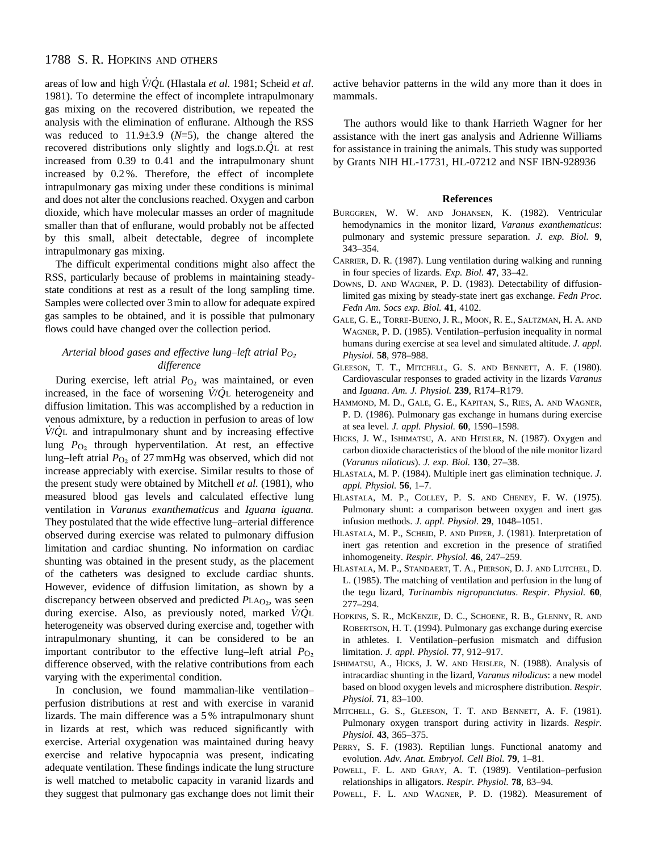# 1788 S. R. HOPKINS AND OTHERS

areas of low and high *V* . /*Q* . L (Hlastala *et al.* 1981; Scheid *et al*. 1981). To determine the effect of incomplete intrapulmonary gas mixing on the recovered distribution, we repeated the analysis with the elimination of enflurane. Although the RSS was reduced to  $11.9\pm3.9$  ( $N=5$ ), the change altered the recovered distributions only slightly and logS.D.*Q* L at rest increased from 0.39 to 0.41 and the intrapulmonary shunt increased by 0.2 %. Therefore, the effect of incomplete intrapulmonary gas mixing under these conditions is minimal and does not alter the conclusions reached. Oxygen and carbon dioxide, which have molecular masses an order of magnitude smaller than that of enflurane, would probably not be affected by this small, albeit detectable, degree of incomplete intrapulmonary gas mixing.

The difficult experimental conditions might also affect the RSS, particularly because of problems in maintaining steadystate conditions at rest as a result of the long sampling time. Samples were collected over 3 min to allow for adequate expired gas samples to be obtained, and it is possible that pulmonary flows could have changed over the collection period.

# *Arterial blood gases and effective lung–left atrial* P<sub>*O*</sub> ∂ *difference*

During exercise, left atrial  $P_{\text{O}_2}$  was maintained, or even increased, in the face of worsening *V* /*Q* L heterogeneity and diffusion limitation. This was accomplished by a reduction in venous admixture, by a reduction in perfusion to areas of low . . *V* /*Q* L and intrapulmonary shunt and by increasing effective lung *P*<sub>O2</sub> through hyperventilation. At rest, an effective lung–left atrial  $P<sub>O<sub>2</sub></sub>$  of 27 mmHg was observed, which did not increase appreciably with exercise. Similar results to those of the present study were obtained by Mitchell *et al.* (1981), who measured blood gas levels and calculated effective lung ventilation in *Varanus exanthematicus* and *Iguana iguana.* They postulated that the wide effective lung–arterial difference observed during exercise was related to pulmonary diffusion limitation and cardiac shunting. No information on cardiac shunting was obtained in the present study, as the placement of the catheters was designed to exclude cardiac shunts. However, evidence of diffusion limitation, as shown by a discrepancy between observed and predicted *P*LAO<sub>2</sub>, was seen during exercise. Also, as previously noted, marked *V* /*Q* L heterogeneity was observed during exercise and, together with intrapulmonary shunting, it can be considered to be an important contributor to the effective lung–left atrial  $P_{\text{O}_2}$ difference observed, with the relative contributions from each varying with the experimental condition.

In conclusion, we found mammalian-like ventilation– perfusion distributions at rest and with exercise in varanid lizards. The main difference was a 5 % intrapulmonary shunt in lizards at rest, which was reduced significantly with exercise. Arterial oxygenation was maintained during heavy exercise and relative hypocapnia was present, indicating adequate ventilation. These findings indicate the lung structure is well matched to metabolic capacity in varanid lizards and they suggest that pulmonary gas exchange does not limit their active behavior patterns in the wild any more than it does in mammals.

The authors would like to thank Harrieth Wagner for her assistance with the inert gas analysis and Adrienne Williams for assistance in training the animals. This study was supported by Grants NIH HL-17731, HL-07212 and NSF IBN-928936

### **References**

- BURGGREN, W. W. AND JOHANSEN, K. (1982). Ventricular hemodynamics in the monitor lizard, *Varanus exanthematicus*: pulmonary and systemic pressure separation. *J. exp. Biol.* **9**, 343–354.
- CARRIER, D. R. (1987). Lung ventilation during walking and running in four species of lizards. *Exp. Biol.* **47**, 33–42.
- DOWNS, D. AND WAGNER, P. D. (1983). Detectability of diffusionlimited gas mixing by steady-state inert gas exchange. *Fedn Proc. Fedn Am. Socs exp. Biol.* **41**, 4102.
- GALE, G. E., TORRE-BUENO, J. R., MOON, R. E., SALTZMAN, H. A. AND WAGNER, P. D. (1985). Ventilation–perfusion inequality in normal humans during exercise at sea level and simulated altitude. *J. appl. Physiol.* **58**, 978–988.
- GLEESON, T. T., MITCHELL, G. S. AND BENNETT, A. F. (1980). Cardiovascular responses to graded activity in the lizards *Varanus* and *Iguana*. *Am. J. Physiol.* **239**, R174–R179.
- HAMMOND, M. D., GALE, G. E., KAPITAN, S., RIES, A. AND WAGNER, P. D. (1986). Pulmonary gas exchange in humans during exercise at sea level. *J. appl. Physiol.* **60**, 1590–1598.
- HICKS, J. W., ISHIMATSU, A. AND HEISLER, N. (1987). Oxygen and carbon dioxide characteristics of the blood of the nile monitor lizard (*Varanus niloticus*). *J. exp. Biol.* **130**, 27–38.
- HLASTALA, M. P. (1984). Multiple inert gas elimination technique. *J. appl. Physiol.* **56**, 1–7.
- HLASTALA, M. P., COLLEY, P. S. AND CHENEY, F. W. (1975). Pulmonary shunt: a comparison between oxygen and inert gas infusion methods. *J. appl. Physiol.* **29**, 1048–1051.
- HLASTALA, M. P., SCHEID, P. AND PIIPER, J. (1981). Interpretation of inert gas retention and excretion in the presence of stratified inhomogeneity. *Respir. Physiol.* **46**, 247–259.
- HLASTALA, M. P., STANDAERT, T. A., PIERSON, D. J. AND LUTCHEL, D. L. (1985). The matching of ventilation and perfusion in the lung of the tegu lizard, *Turinambis nigropunctatus*. *Respir. Physiol.* **60**, 277–294.
- HOPKINS, S. R., MCKENZIE, D. C., SCHOENE, R. B., GLENNY, R. AND ROBERTSON, H. T. (1994). Pulmonary gas exchange during exercise in athletes. I. Ventilation–perfusion mismatch and diffusion limitation. *J. appl. Physiol.* **77**, 912–917.
- ISHIMATSU, A., HICKS, J. W. AND HEISLER, N. (1988). Analysis of intracardiac shunting in the lizard, *Varanus nilodicus*: a new model based on blood oxygen levels and microsphere distribution. *Respir. Physiol.* **71**, 83–100.
- MITCHELL, G. S., GLEESON, T. T. AND BENNETT, A. F. (1981). Pulmonary oxygen transport during activity in lizards. *Respir. Physiol.* **43**, 365–375.
- PERRY, S. F. (1983). Reptilian lungs. Functional anatomy and evolution. *Adv. Anat. Embryol. Cell Biol.* **79**, 1–81.
- POWELL, F. L. AND GRAY, A. T. (1989). Ventilation–perfusion relationships in alligators. *Respir. Physiol.* **78**, 83–94.
- POWELL, F. L. AND WAGNER, P. D. (1982). Measurement of